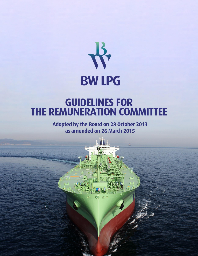

# **GUIDELINES FOR<br>THE REMUNERATION COMMITTEE**

Adopted by the Board on 28 October 2013 as amended on 26 March 2015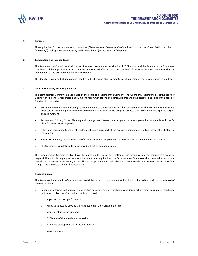

### **1. Purpose**

These guidelines for the remuneration committee ("**Remuneration Committee**") of the board of directors of BW LPG Limited (the "**Company**") shall apply to the Company and its subsidiaries (collectively, the "**Group**").

### **2. Composition and Independence**

The Remuneration Committee shall consist of at least two members of the Board of Directors, and the Remuneration Committee members shall be appointed to the committee by the Board of Directors. The members of the Remuneration Committee shall be independent of the executive personnel of the Group.

The Board of Directors shall appoint one member of the Remuneration Committee as chairperson of the Remuneration Committee.

## **3. General Functions, Authority and Role**

The Remuneration Committee is appointed by the board of directors of the Company (the "Board of Directors") to assist the Board of Directors in fulfilling its responsibilities by making recommendations and otherwise preparing the basis for decisions of the Board of Directors in relation to:

- Executive Remuneration, including recommendation of the Guidelines for the remuneration of the Executive Management; proposals on fixed and performance based remuneration levels for the CEO; and proposals on assessment or Corporate Targets and achievement.
- Recruitment Policies, Career Planning and Management Development programs for the organisation as a whole and specific plans for Executive Management.
- Other matters relating to material employment issues in respect of the executive personnel, including the benefits strategy of the Company.
- Succession Planning and any other specific remuneration or employment matters as directed by the Board of Directors.
- The Committee's guidelines, to be reviewed at least on an annual basis.

The Remuneration Committee shall have the authority to review any matter of the Group within the committee's scope of responsibilities. In discharging its responsibilities under these guidelines, the Remuneration Committee shall have full access to the records and personnel of the Group, and shall have the opportunity to seek advice and recommendations from sources outside of the Group, if the committee deems that necessary.

# **4. Responsibilities**

The Remuneration Committee's primary responsibilities in providing assistance and facilitating the decision making in the Board of Directors include:

- Conducting a formal evaluation of the executive personnel annually, including considering achievement against pre-established performance objectives The evaluation should consider;
	- o Impact on business performance
	- o Ability to select and develop the right people for the management team
	- o Scope of influence on outcomes
	- o Fulfillment of shareholders' expectations
	- o Vision and strategy for the Company's future
	- o Succession plan